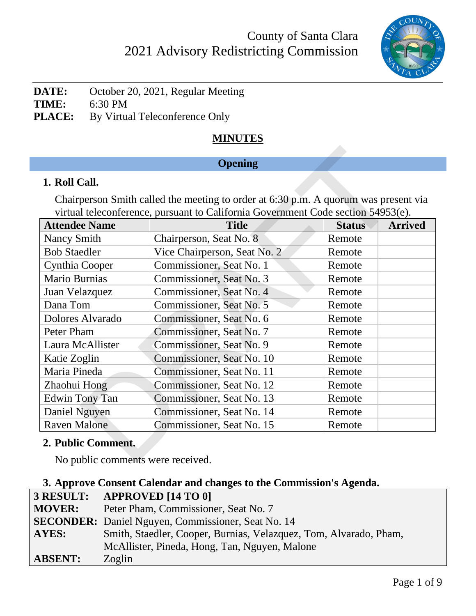

**DATE:** October 20, 2021, Regular Meeting **TIME:** 6:30 PM **PLACE:** By Virtual Teleconference Only

# **MINUTES**

## **Opening**

### **1. Roll Call.**

| <b>Opening</b>                                                                                                                                                          |                              |               |                |  |
|-------------------------------------------------------------------------------------------------------------------------------------------------------------------------|------------------------------|---------------|----------------|--|
| 1. Roll Call.                                                                                                                                                           |                              |               |                |  |
| Chairperson Smith called the meeting to order at 6:30 p.m. A quorum was present via<br>virtual teleconference, pursuant to California Government Code section 54953(e). |                              |               |                |  |
| <b>Attendee Name</b>                                                                                                                                                    | <b>Title</b>                 | <b>Status</b> | <b>Arrived</b> |  |
| <b>Nancy Smith</b>                                                                                                                                                      | Chairperson, Seat No. 8      | Remote        |                |  |
| <b>Bob Staedler</b>                                                                                                                                                     | Vice Chairperson, Seat No. 2 | Remote        |                |  |
| Cynthia Cooper                                                                                                                                                          | Commissioner, Seat No. 1     | Remote        |                |  |
| Mario Burnias                                                                                                                                                           | Commissioner, Seat No. 3     | Remote        |                |  |
| Juan Velazquez                                                                                                                                                          | Commissioner, Seat No. 4     | Remote        |                |  |
| Dana Tom                                                                                                                                                                | Commissioner, Seat No. 5     | Remote        |                |  |
| Dolores Alvarado                                                                                                                                                        | Commissioner, Seat No. 6     | Remote        |                |  |
| Peter Pham                                                                                                                                                              | Commissioner, Seat No. 7     | Remote        |                |  |
| Laura McAllister                                                                                                                                                        | Commissioner, Seat No. 9     | Remote        |                |  |
| Katie Zoglin                                                                                                                                                            | Commissioner, Seat No. 10    | Remote        |                |  |
| Maria Pineda                                                                                                                                                            | Commissioner, Seat No. 11    | Remote        |                |  |
| Zhaohui Hong                                                                                                                                                            | Commissioner, Seat No. 12    | Remote        |                |  |
| <b>Edwin Tony Tan</b>                                                                                                                                                   | Commissioner, Seat No. 13    | Remote        |                |  |
| Daniel Nguyen                                                                                                                                                           | Commissioner, Seat No. 14    | Remote        |                |  |
| <b>Raven Malone</b>                                                                                                                                                     | Commissioner, Seat No. 15    | Remote        |                |  |
| 2. Public Comment.                                                                                                                                                      |                              |               |                |  |
| No public comments were received.                                                                                                                                       |                              |               |                |  |

### **2. Public Comment.**

No public comments were received.

| 3. Approve Consent Calendar and changes to the Commission's Agenda. |                                                                   |  |
|---------------------------------------------------------------------|-------------------------------------------------------------------|--|
|                                                                     | 3 RESULT: APPROVED [14 TO 0]                                      |  |
| <b>MOVER:</b>                                                       | Peter Pham, Commissioner, Seat No. 7                              |  |
|                                                                     | <b>SECONDER:</b> Daniel Nguyen, Commissioner, Seat No. 14         |  |
| <b>AYES:</b>                                                        | Smith, Staedler, Cooper, Burnias, Velazquez, Tom, Alvarado, Pham, |  |
|                                                                     | McAllister, Pineda, Hong, Tan, Nguyen, Malone                     |  |
| <b>ABSENT:</b>                                                      | Zoglin                                                            |  |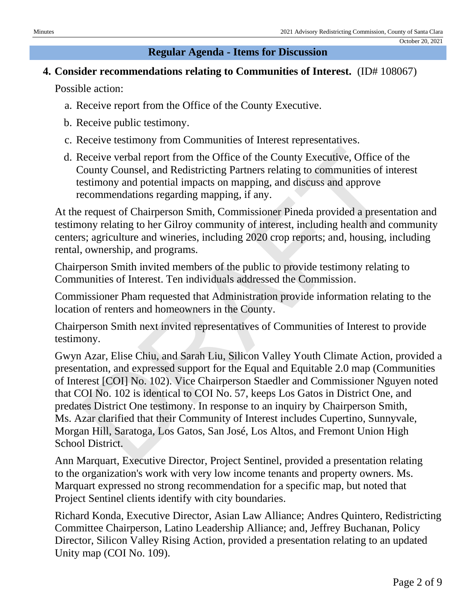#### **Regular Agenda - Items for Discussion**

## **4. Consider recommendations relating to Communities of Interest.** (ID# 108067)

Possible action:

- a. Receive report from the Office of the County Executive.
- b. Receive public testimony.
- c. Receive testimony from Communities of Interest representatives.
- d. Receive verbal report from the Office of the County Executive, Office of the County Counsel, and Redistricting Partners relating to communities of interest testimony and potential impacts on mapping, and discuss and approve recommendations regarding mapping, if any.

At the request of Chairperson Smith, Commissioner Pineda provided a presentation and testimony relating to her Gilroy community of interest, including health and community centers; agriculture and wineries, including 2020 crop reports; and, housing, including rental, ownership, and programs.

Chairperson Smith invited members of the public to provide testimony relating to Communities of Interest. Ten individuals addressed the Commission.

Commissioner Pham requested that Administration provide information relating to the location of renters and homeowners in the County.

Chairperson Smith next invited representatives of Communities of Interest to provide testimony.

Gwyn Azar, Elise Chiu, and Sarah Liu, Silicon Valley Youth Climate Action, provided a presentation, and expressed support for the Equal and Equitable 2.0 map (Communities of Interest [COI] No. 102). Vice Chairperson Staedler and Commissioner Nguyen noted that COI No. 102 is identical to COI No. 57, keeps Los Gatos in District One, and predates District One testimony. In response to an inquiry by Chairperson Smith, Ms. Azar clarified that their Community of Interest includes Cupertino, Sunnyvale, Morgan Hill, Saratoga, Los Gatos, San José, Los Altos, and Fremont Union High School District. Receive verbal report from the Office of the County Executive, Office of industy County Counsel, and Redistricting Partners relating to communities of intestimony and potential impacts on mapping, and discuss and approve e

Ann Marquart, Executive Director, Project Sentinel, provided a presentation relating to the organization's work with very low income tenants and property owners. Ms. Marquart expressed no strong recommendation for a specific map, but noted that Project Sentinel clients identify with city boundaries.

Richard Konda, Executive Director, Asian Law Alliance; Andres Quintero, Redistricting Committee Chairperson, Latino Leadership Alliance; and, Jeffrey Buchanan, Policy Director, Silicon Valley Rising Action, provided a presentation relating to an updated Unity map (COI No. 109).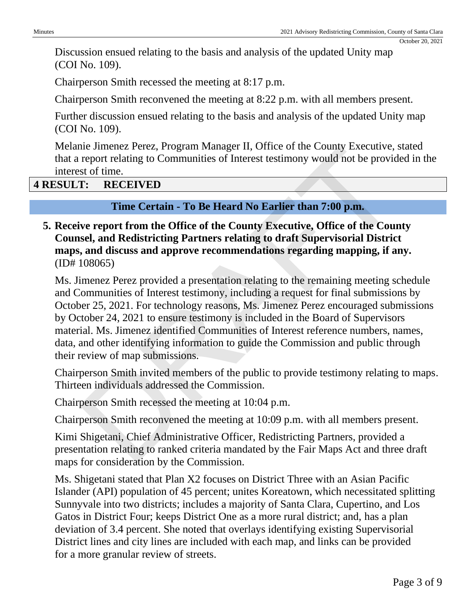Discussion ensued relating to the basis and analysis of the updated Unity map (COI No. 109).

Chairperson Smith recessed the meeting at 8:17 p.m.

Chairperson Smith reconvened the meeting at 8:22 p.m. with all members present.

Further discussion ensued relating to the basis and analysis of the updated Unity map (COI No. 109).

Melanie Jimenez Perez, Program Manager II, Office of the County Executive, stated that a report relating to Communities of Interest testimony would not be provided in the interest of time.

#### **4 RESULT: RECEIVED**

#### **Time Certain - To Be Heard No Earlier than 7:00 p.m.**

**5. Receive report from the Office of the County Executive, Office of the County Counsel, and Redistricting Partners relating to draft Supervisorial District maps, and discuss and approve recommendations regarding mapping, if any.** (ID# 108065)

Ms. Jimenez Perez provided a presentation relating to the remaining meeting schedule and Communities of Interest testimony, including a request for final submissions by October 25, 2021. For technology reasons, Ms. Jimenez Perez encouraged submissions by October 24, 2021 to ensure testimony is included in the Board of Supervisors material. Ms. Jimenez identified Communities of Interest reference numbers, names, data, and other identifying information to guide the Commission and public through their review of map submissions. The Jimester Petz, Program Manager II, Office of the County Executive,<br>
report relating to Communities of Interest testimony would not be provident<br>
st of time.<br> **The Certain - To Be Heard No Earlier than 7:00 p.m.**<br>
verti

Chairperson Smith invited members of the public to provide testimony relating to maps. Thirteen individuals addressed the Commission.

Chairperson Smith recessed the meeting at 10:04 p.m.

Chairperson Smith reconvened the meeting at 10:09 p.m. with all members present.

Kimi Shigetani, Chief Administrative Officer, Redistricting Partners, provided a presentation relating to ranked criteria mandated by the Fair Maps Act and three draft maps for consideration by the Commission.

Ms. Shigetani stated that Plan X2 focuses on District Three with an Asian Pacific Islander (API) population of 45 percent; unites Koreatown, which necessitated splitting Sunnyvale into two districts; includes a majority of Santa Clara, Cupertino, and Los Gatos in District Four; keeps District One as a more rural district; and, has a plan deviation of 3.4 percent. She noted that overlays identifying existing Supervisorial District lines and city lines are included with each map, and links can be provided for a more granular review of streets.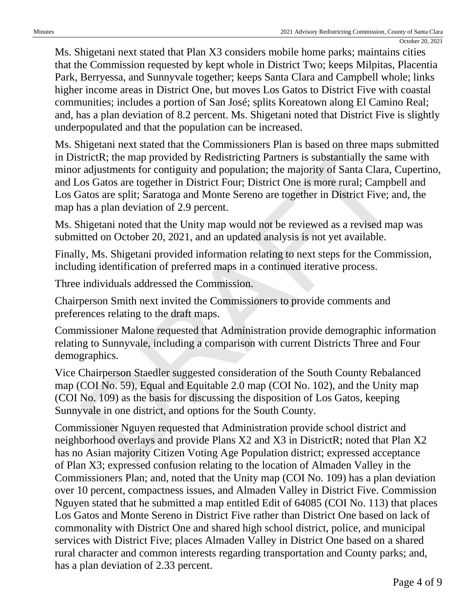Ms. Shigetani next stated that Plan X3 considers mobile home parks; maintains cities that the Commission requested by kept whole in District Two; keeps Milpitas, Placentia Park, Berryessa, and Sunnyvale together; keeps Santa Clara and Campbell whole; links higher income areas in District One, but moves Los Gatos to District Five with coastal communities; includes a portion of San José; splits Koreatown along El Camino Real; and, has a plan deviation of 8.2 percent. Ms. Shigetani noted that District Five is slightly underpopulated and that the population can be increased.

Ms. Shigetani next stated that the Commissioners Plan is based on three maps submitted in DistrictR; the map provided by Redistricting Partners is substantially the same with minor adjustments for contiguity and population; the majority of Santa Clara, Cupertino, and Los Gatos are together in District Four; District One is more rural; Campbell and Los Gatos are split; Saratoga and Monte Sereno are together in District Five; and, the map has a plan deviation of 2.9 percent. mgetain next stated mat the Commissioners Trait is based on three maps<br>intricitR; the map provided by Redistricting Partners is substantially the same<br>adjustments for contiguity and population; the majority of Santa Clara,

Ms. Shigetani noted that the Unity map would not be reviewed as a revised map was submitted on October 20, 2021, and an updated analysis is not yet available.

Finally, Ms. Shigetani provided information relating to next steps for the Commission, including identification of preferred maps in a continued iterative process.

Three individuals addressed the Commission.

Chairperson Smith next invited the Commissioners to provide comments and preferences relating to the draft maps.

Commissioner Malone requested that Administration provide demographic information relating to Sunnyvale, including a comparison with current Districts Three and Four demographics.

Vice Chairperson Staedler suggested consideration of the South County Rebalanced map (COI No. 59), Equal and Equitable 2.0 map (COI No. 102), and the Unity map (COI No. 109) as the basis for discussing the disposition of Los Gatos, keeping Sunnyvale in one district, and options for the South County.

Commissioner Nguyen requested that Administration provide school district and neighborhood overlays and provide Plans X2 and X3 in DistrictR; noted that Plan X2 has no Asian majority Citizen Voting Age Population district; expressed acceptance of Plan X3; expressed confusion relating to the location of Almaden Valley in the Commissioners Plan; and, noted that the Unity map (COI No. 109) has a plan deviation over 10 percent, compactness issues, and Almaden Valley in District Five. Commission Nguyen stated that he submitted a map entitled Edit of 64085 (COI No. 113) that places Los Gatos and Monte Sereno in District Five rather than District One based on lack of commonality with District One and shared high school district, police, and municipal services with District Five; places Almaden Valley in District One based on a shared rural character and common interests regarding transportation and County parks; and, has a plan deviation of 2.33 percent.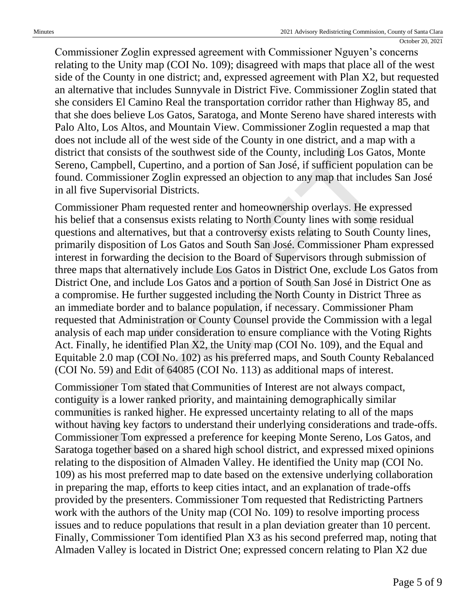Commissioner Zoglin expressed agreement with Commissioner Nguyen's concerns relating to the Unity map (COI No. 109); disagreed with maps that place all of the west side of the County in one district; and, expressed agreement with Plan X2, but requested an alternative that includes Sunnyvale in District Five. Commissioner Zoglin stated that she considers El Camino Real the transportation corridor rather than Highway 85, and that she does believe Los Gatos, Saratoga, and Monte Sereno have shared interests with Palo Alto, Los Altos, and Mountain View. Commissioner Zoglin requested a map that does not include all of the west side of the County in one district, and a map with a district that consists of the southwest side of the County, including Los Gatos, Monte Sereno, Campbell, Cupertino, and a portion of San José, if sufficient population can be found. Commissioner Zoglin expressed an objection to any map that includes San José in all five Supervisorial Districts.

Commissioner Pham requested renter and homeownership overlays. He expressed his belief that a consensus exists relating to North County lines with some residual questions and alternatives, but that a controversy exists relating to South County lines, primarily disposition of Los Gatos and South San José. Commissioner Pham expressed interest in forwarding the decision to the Board of Supervisors through submission of three maps that alternatively include Los Gatos in District One, exclude Los Gatos from District One, and include Los Gatos and a portion of South San José in District One as a compromise. He further suggested including the North County in District Three as an immediate border and to balance population, if necessary. Commissioner Pham requested that Administration or County Counsel provide the Commission with a legal analysis of each map under consideration to ensure compliance with the Voting Rights Act. Finally, he identified Plan X2, the Unity map (COI No. 109), and the Equal and Equitable 2.0 map (COI No. 102) as his preferred maps, and South County Rebalanced (COI No. 59) and Edit of 64085 (COI No. 113) as additional maps of interest. t that consists of the southwest side of the County, including Los Gatos,<br>
o, Campbell, Cupertino, and a portion of San José, if sufficient populatio<br>
c. Commissioner Zoglin expressed an objection to any map that includes

Commissioner Tom stated that Communities of Interest are not always compact, contiguity is a lower ranked priority, and maintaining demographically similar communities is ranked higher. He expressed uncertainty relating to all of the maps without having key factors to understand their underlying considerations and trade-offs. Commissioner Tom expressed a preference for keeping Monte Sereno, Los Gatos, and Saratoga together based on a shared high school district, and expressed mixed opinions relating to the disposition of Almaden Valley. He identified the Unity map (COI No. 109) as his most preferred map to date based on the extensive underlying collaboration in preparing the map, efforts to keep cities intact, and an explanation of trade-offs provided by the presenters. Commissioner Tom requested that Redistricting Partners work with the authors of the Unity map (COI No. 109) to resolve importing process issues and to reduce populations that result in a plan deviation greater than 10 percent. Finally, Commissioner Tom identified Plan X3 as his second preferred map, noting that Almaden Valley is located in District One; expressed concern relating to Plan X2 due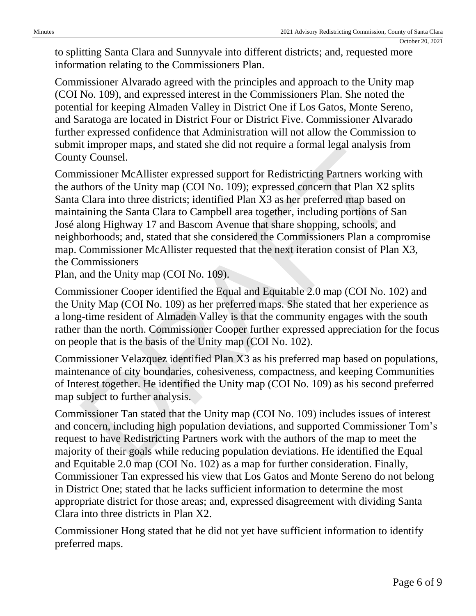to splitting Santa Clara and Sunnyvale into different districts; and, requested more information relating to the Commissioners Plan.

Commissioner Alvarado agreed with the principles and approach to the Unity map (COI No. 109), and expressed interest in the Commissioners Plan. She noted the potential for keeping Almaden Valley in District One if Los Gatos, Monte Sereno, and Saratoga are located in District Four or District Five. Commissioner Alvarado further expressed confidence that Administration will not allow the Commission to submit improper maps, and stated she did not require a formal legal analysis from County Counsel.

Commissioner McAllister expressed support for Redistricting Partners working with the authors of the Unity map (COI No. 109); expressed concern that Plan X2 splits Santa Clara into three districts; identified Plan X3 as her preferred map based on maintaining the Santa Clara to Campbell area together, including portions of San José along Highway 17 and Bascom Avenue that share shopping, schools, and neighborhoods; and, stated that she considered the Commissioners Plan a compromise map. Commissioner McAllister requested that the next iteration consist of Plan X3, the Commissioners mipper maps, and stated she unto require a roman regar antaysis in<br>trimpler maps, and stated she unto require a roman regar antaysis in<br>missioner McAllister expressed support for Redistricting Partners working<br>the SClara i

Plan, and the Unity map (COI No. 109).

Commissioner Cooper identified the Equal and Equitable 2.0 map (COI No. 102) and the Unity Map (COI No. 109) as her preferred maps. She stated that her experience as a long-time resident of Almaden Valley is that the community engages with the south rather than the north. Commissioner Cooper further expressed appreciation for the focus on people that is the basis of the Unity map (COI No. 102).

Commissioner Velazquez identified Plan X3 as his preferred map based on populations, maintenance of city boundaries, cohesiveness, compactness, and keeping Communities of Interest together. He identified the Unity map (COI No. 109) as his second preferred map subject to further analysis.

Commissioner Tan stated that the Unity map (COI No. 109) includes issues of interest and concern, including high population deviations, and supported Commissioner Tom's request to have Redistricting Partners work with the authors of the map to meet the majority of their goals while reducing population deviations. He identified the Equal and Equitable 2.0 map (COI No. 102) as a map for further consideration. Finally, Commissioner Tan expressed his view that Los Gatos and Monte Sereno do not belong in District One; stated that he lacks sufficient information to determine the most appropriate district for those areas; and, expressed disagreement with dividing Santa Clara into three districts in Plan X2.

Commissioner Hong stated that he did not yet have sufficient information to identify preferred maps.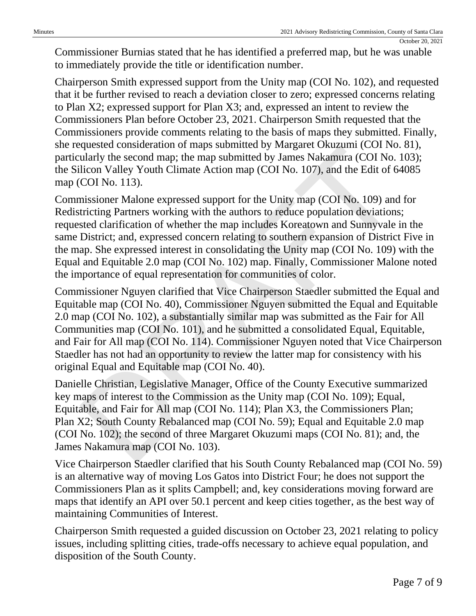Commissioner Burnias stated that he has identified a preferred map, but he was unable to immediately provide the title or identification number.

Chairperson Smith expressed support from the Unity map (COI No. 102), and requested that it be further revised to reach a deviation closer to zero; expressed concerns relating to Plan X2; expressed support for Plan X3; and, expressed an intent to review the Commissioners Plan before October 23, 2021. Chairperson Smith requested that the Commissioners provide comments relating to the basis of maps they submitted. Finally, she requested consideration of maps submitted by Margaret Okuzumi (COI No. 81), particularly the second map; the map submitted by James Nakamura (COI No. 103); the Silicon Valley Youth Climate Action map (COI No. 107), and the Edit of 64085 map (COI No. 113).

Commissioner Malone expressed support for the Unity map (COI No. 109) and for Redistricting Partners working with the authors to reduce population deviations; requested clarification of whether the map includes Koreatown and Sunnyvale in the same District; and, expressed concern relating to southern expansion of District Five in the map. She expressed interest in consolidating the Unity map (COI No. 109) with the Equal and Equitable 2.0 map (COI No. 102) map. Finally, Commissioner Malone noted the importance of equal representation for communities of color. quested consideration of maps submitted by James Nakamian (COI No.<br>ularly the second map; the map submitted by James Nakamian (COI No.<br>licon Valley Youth Climate Action map (COI No. 107), and the Edit of COI No.<br>licon Vall

Commissioner Nguyen clarified that Vice Chairperson Staedler submitted the Equal and Equitable map (COI No. 40), Commissioner Nguyen submitted the Equal and Equitable 2.0 map (COI No. 102), a substantially similar map was submitted as the Fair for All Communities map (COI No. 101), and he submitted a consolidated Equal, Equitable, and Fair for All map (COI No. 114). Commissioner Nguyen noted that Vice Chairperson Staedler has not had an opportunity to review the latter map for consistency with his original Equal and Equitable map (COI No. 40).

Danielle Christian, Legislative Manager, Office of the County Executive summarized key maps of interest to the Commission as the Unity map (COI No. 109); Equal, Equitable, and Fair for All map (COI No. 114); Plan X3, the Commissioners Plan; Plan X2; South County Rebalanced map (COI No. 59); Equal and Equitable 2.0 map (COI No. 102); the second of three Margaret Okuzumi maps (COI No. 81); and, the James Nakamura map (COI No. 103).

Vice Chairperson Staedler clarified that his South County Rebalanced map (COI No. 59) is an alternative way of moving Los Gatos into District Four; he does not support the Commissioners Plan as it splits Campbell; and, key considerations moving forward are maps that identify an API over 50.1 percent and keep cities together, as the best way of maintaining Communities of Interest.

Chairperson Smith requested a guided discussion on October 23, 2021 relating to policy issues, including splitting cities, trade-offs necessary to achieve equal population, and disposition of the South County.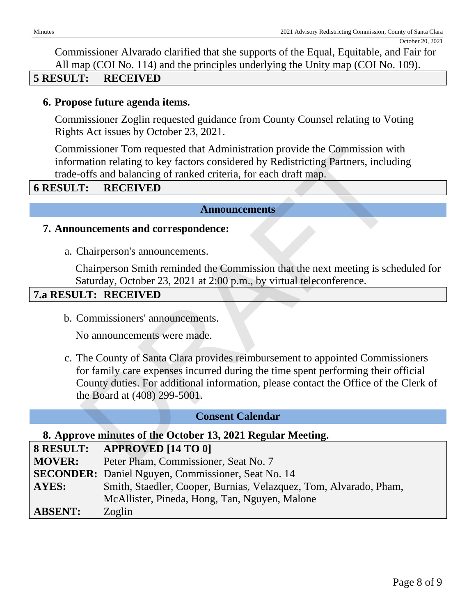Commissioner Alvarado clarified that she supports of the Equal, Equitable, and Fair for All map (COI No. 114) and the principles underlying the Unity map (COI No. 109).

#### **5 RESULT: RECEIVED**

#### **6. Propose future agenda items.**

Commissioner Zoglin requested guidance from County Counsel relating to Voting Rights Act issues by October 23, 2021.

Commissioner Tom requested that Administration provide the Commission with information relating to key factors considered by Redistricting Partners, including trade-offs and balancing of ranked criteria, for each draft map.

#### **6 RESULT: RECEIVED**

#### **Announcements**

#### **7. Announcements and correspondence:**

a. Chairperson's announcements.

Chairperson Smith reminded the Commission that the next meeting is scheduled for Saturday, October 23, 2021 at 2:00 p.m., by virtual teleconference.

#### **7.a RESULT: RECEIVED**

b. Commissioners' announcements.

No announcements were made.

c. The County of Santa Clara provides reimbursement to appointed Commissioners for family care expenses incurred during the time spent performing their official County duties. For additional information, please contact the Office of the Clerk of the Board at (408) 299-5001. missioner Tom requested that Administration provide the Commission windom relating to key factors considered by Redistricting Partners, included of the offs and balancing of ranked criteria, for each draft map.<br> **T:** RECEI

#### **Consent Calendar**

#### **8. Approve minutes of the October 13, 2021 Regular Meeting.**

#### **8 RESULT: APPROVED [14 TO 0]**

- **MOVER:** Peter Pham, Commissioner, Seat No. 7
- **SECONDER:** Daniel Nguyen, Commissioner, Seat No. 14
- **AYES:** Smith, Staedler, Cooper, Burnias, Velazquez, Tom, Alvarado, Pham,
	- McAllister, Pineda, Hong, Tan, Nguyen, Malone

**ABSENT:** Zoglin